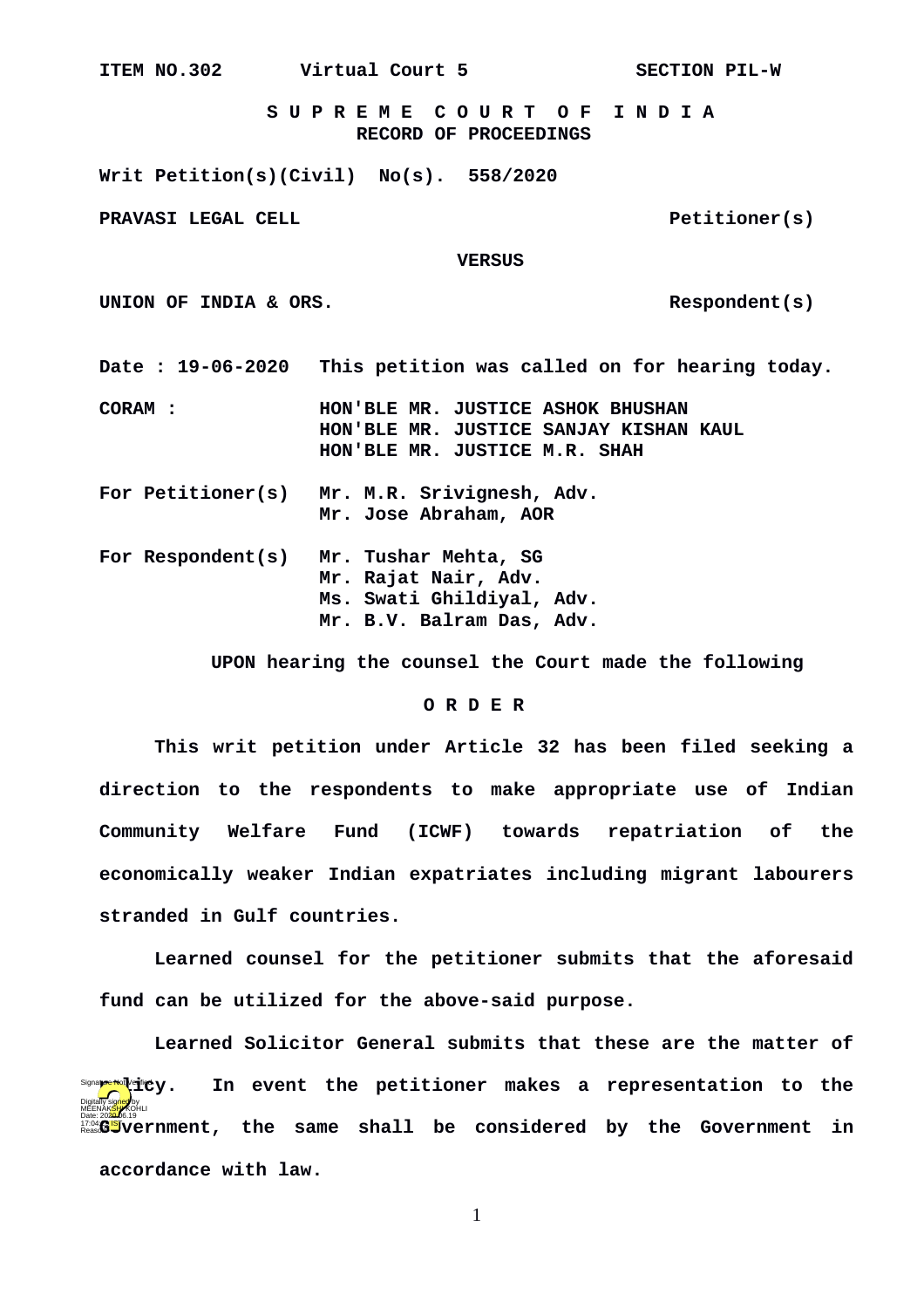**ITEM NO.302 Virtual Court 5 SECTION PIL-W**

 **S U P R E M E C O U R T O F I N D I A RECORD OF PROCEEDINGS**

**Writ Petition(s)(Civil) No(s). 558/2020**

**PRAVASI LEGAL CELL PRAVASI LEGAL CELL** 

 **VERSUS**

UNION OF INDIA & ORS.

**Date : 19-06-2020 This petition was called on for hearing today.**

**CORAM : HON'BLE MR. JUSTICE ASHOK BHUSHAN HON'BLE MR. JUSTICE SANJAY KISHAN KAUL HON'BLE MR. JUSTICE M.R. SHAH**

**For Petitioner(s) Mr. M.R. Srivignesh, Adv. Mr. Jose Abraham, AOR**

For Respondent(s) **For Respondent(s) Mr. Tushar Mehta, SG Mr. Rajat Nair, Adv. Ms. Swati Ghildiyal, Adv. Mr. B.V. Balram Das, Adv.**

 **UPON hearing the counsel the Court made the following**

## **O R D E R**

**This writ petition under Article 32 has been filed seeking a direction to the respondents to make appropriate use of Indian Community Welfare Fund (ICWF) towards repatriation of the economically weaker Indian expatriates including migrant labourers stranded in Gulf countries.**

**Learned counsel for the petitioner submits that the aforesaid fund can be utilized for the above-said purpose.**

**Learned Solicitor General submits that these are the matter of** In event the petitioner makes a representation to the **Government, the same shall be considered by the Government in accordance with law.**  Digitally signed by<br>MEENAK<mark>SH</mark>AKOHLI re Not Verifie V .

1